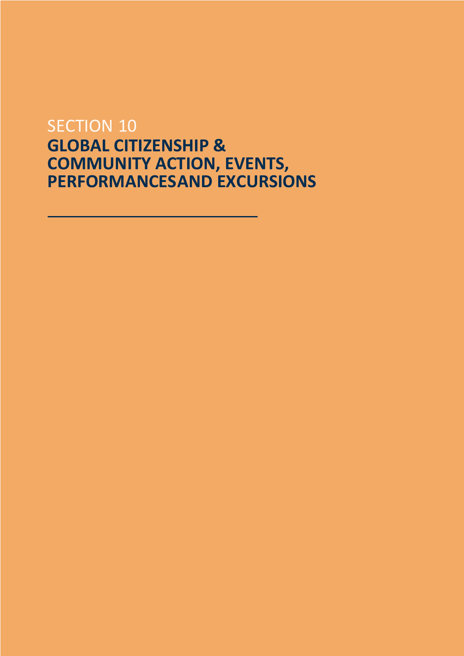## **SECTION 10 GLOBAL CITIZENSHIP & COMMUNITY ACTION, EVENTS, PERFORMANCESAND EXCURSIONS**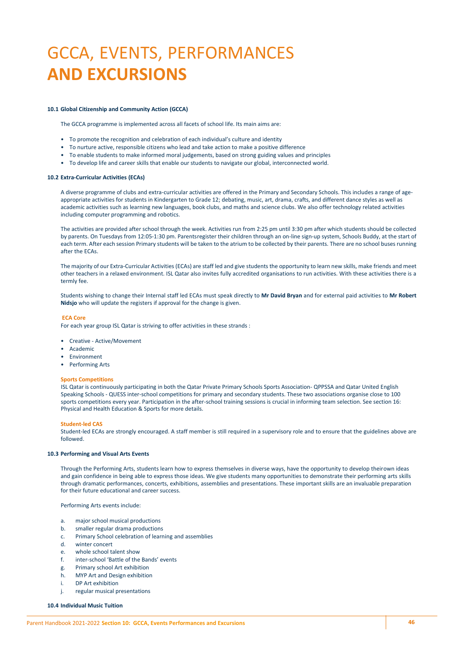# GCCA, EVENTS, PERFORMANCES **AND EXCURSIONS**

#### **10.1 Global Citizenship and Community Action (GCCA)**

The GCCA programme is implemented across all facets of school life. Its main aims are:

- To promote the recognition and celebration of each individual's culture and identity
- To nurture active, responsible citizens who lead and take action to make a positive difference
- To enable students to make informed moral judgements, based on strong guiding values and principles
- To develop life and career skills that enable our students to navigate our global, interconnected world.

#### **10.2 Extra-Curricular Activities (ECAs)**

A diverse programme of clubs and extra-curricular activities are offered in the Primary and Secondary Schools. This includes a range of ageappropriate activities for students in Kindergarten to Grade 12; debating, music, art, drama, crafts, and different dance styles as well as academic activities such as learning new languages, book clubs, and maths and science clubs. We also offer technology related activities including computer programming and robotics.

The activities are provided after school through the week. Activities run from 2:25 pm until 3:30 pm after which students should be collected by parents. On Tuesdays from 12:05-1:30 pm. Parentsregister their children through an on-line sign-up system, Schools Buddy, at the start of each term. After each session Primary students will be taken to the atrium to be collected by their parents. There are no school buses running after the ECAs.

The majority of our Extra-Curricular Activities (ECAs) are staff led and give students the opportunity to learn new skills, make friends and meet other teachers in a relaxed environment. ISL Qatar also invites fully accredited organisations to run activities. With these activities there is a termly fee.

Students wishing to change their Internal staff led ECAs must speak directly to **Mr David Bryan** and for external paid activities to **Mr Robert Nidsjo** who will update the registers if approval for the change is given.

#### **ECA Core**

For each year group ISL Qatar is striving to offer activities in these strands :

- Creative Active/Movement
- Academic
- **Environment**
- Performing Arts

#### **Sports Competitions**

ISL Qatar is continuously participating in both the Qatar Private Primary Schools Sports Association- QPPSSA and Qatar United English Speaking Schools - QUESS inter-school competitions for primary and secondary students. These two associations organise close to 100 sports competitions every year. Participation in the after-school training sessions is crucial in informing team selection. See section 16: Physical and Health Education & Sports for more details.

#### **Student-led CAS**

Student-led ECAs are strongly encouraged. A staff member is still required in a supervisory role and to ensure that the guidelines above are followed.

#### **10.3 Performing and Visual Arts Events**

Through the Performing Arts, students learn how to express themselves in diverse ways, have the opportunity to develop theirown ideas and gain confidence in being able to express those ideas. We give students many opportunities to demonstrate their performing arts skills through dramatic performances, concerts, exhibitions, assemblies and presentations. These important skills are an invaluable preparation for their future educational and career success.

Performing Arts events include:

- a. major school musical productions
- b. smaller regular drama productions
- c. Primary School celebration of learning and assemblies
- d. winter concert
- e. whole school talent show
- f. inter-school 'Battle of the Bands' events
- g. Primary school Art exhibition
- h. MYP Art and Design exhibition
- i. DP Art exhibition
- j. regular musical presentations

**10.4 Individual Music Tuition**